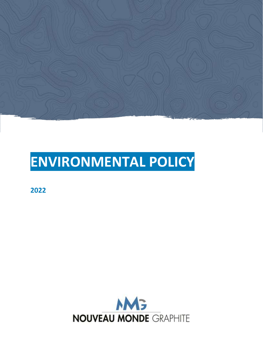

# **ENVIRONMENTAL POLICY**

**2022**

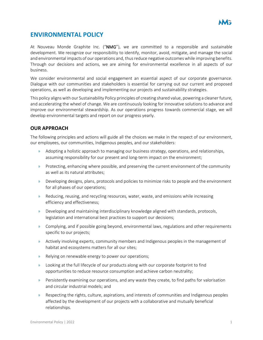# **ENVIRONMENTAL POLICY**

At Nouveau Monde Graphite Inc. ("NMG"), we are committed to a responsible and sustainable development. We recognize our responsibility to identify, monitor, avoid, mitigate, and manage the social and environmental impacts of our operations and, thus reduce negative outcomes while improving benefits. Through our decisions and actions, we are aiming for environmental excellence in all aspects of our business.

We consider environmental and social engagement an essential aspect of our corporate governance. Dialogue with our communities and stakeholders is essential for carrying out our current and proposed operations, as well as developing and implementing our projects and sustainability strategies.

This policy aligns with our Sustainability Policy principles of creating shared value, powering a cleaner future, and accelerating the wheel of change. We are continuously looking for innovative solutions to advance and improve our environmental stewardship. As our operations progress towards commercial stage, we will develop environmental targets and report on our progress yearly.

## **OUR APPROACH**

The following principles and actions will guide all the choices we make in the respect of our environment, our employees, our communities, Indigenous peoples, and our stakeholders:

- » Adopting a holistic approach to managing our business strategy, operations, and relationships, assuming responsibility for our present and long-term impact on the environment;
- » Protecting, enhancing where possible, and preserving the current environment of the community as well as its natural attributes;
- » Developing designs, plans, protocols and policies to minimize risks to people and the environment for all phases of our operations;
- » Reducing, reusing, and recycling resources, water, waste, and emissions while increasing efficiency and effectiveness;
- » Developing and maintaining interdisciplinary knowledge aligned with standards, protocols, legislation and international best practices to support our decisions;
- » Complying, and if possible going beyond, environmental laws, regulations and other requirements specific to our projects;
- » Actively involving experts, community members and Indigenous peoples in the management of habitat and ecosystems matters for all our sites;
- » Relying on renewable energy to power our operations;
- » Looking at the full lifecycle of our products along with our corporate footprint to find opportunities to reduce resource consumption and achieve carbon neutrality;
- » Persistently examining our operations, and any waste they create, to find paths for valorisation and circular industrial models; and
- » Respecting the rights, culture, aspirations, and interests of communities and Indigenous peoples affected by the development of our projects with a collaborative and mutually beneficial relationships.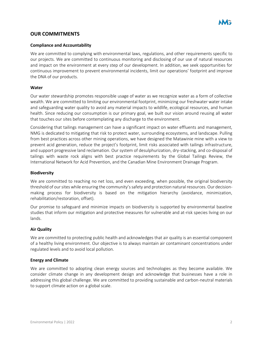

#### **OUR COMMITMENTS**

#### **Compliance and Accountability**

We are committed to complying with environmental laws, regulations, and other requirements specific to our projects. We are committed to continuous monitoring and disclosing of our use of natural resources and impact on the environment at every step of our development. In addition, we seek opportunities for continuous improvement to prevent environmental incidents, limit our operations' footprint and improve the DNA of our products.

#### **Water**

Our water stewardship promotes responsible usage of water as we recognize water as a form of collective wealth. We are committed to limiting our environmental footprint, minimizing our freshwater water intake and safeguarding water quality to avoid any material impacts to wildlife, ecological resources, and human health. Since reducing our consumption is our primary goal, we built our vision around reusing all water that touches our sites before contemplating any discharge to the environment.

Considering that tailings management can have a significant impact on water effluents and management, NMG is dedicated to mitigating that risk to protect water, surrounding ecosystems, and landscape. Pulling from best practices across other mining operations, we have designed the Matawinie mine with a view to prevent acid generation, reduce the project's footprint, limit risks associated with tailings infrastructure, and support progressive land reclamation. Our system of desulphurization, dry-stacking, and co-disposal of tailings with waste rock aligns with best practice requirements by the Global Tailings Review, the International Network for Acid Prevention, and the Canadian Mine Environment Drainage Program.

#### **Biodiversity**

We are committed to reaching no net loss, and even exceeding, when possible, the original biodiversity threshold of our sites while ensuring the community's safety and protection natural resources. Our decisionmaking process for biodiversity is based on the mitigation hierarchy (avoidance, minimization, rehabilitation/restoration, offset).

Our promise to safeguard and minimize impacts on biodiversity is supported by environmental baseline studies that inform our mitigation and protective measures for vulnerable and at-risk species living on our lands.

#### **Air Quality**

We are committed to protecting public health and acknowledges that air quality is an essential component of a healthy living environment. Our objective is to always maintain air contaminant concentrations under regulated levels and to avoid local pollution.

#### **Energy and Climate**

We are committed to adopting clean energy sources and technologies as they become available. We consider climate change in any development design and acknowledge that businesses have a role in addressing this global challenge. We are committed to providing sustainable and carbon-neutral materials to support climate action on a global scale.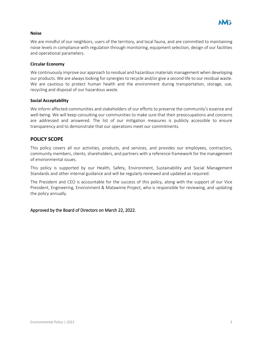

#### **Noise**

We are mindful of our neighbors, users of the territory, and local fauna, and are committed to maintaining noise levels in compliance with regulation through monitoring, equipment selection, design of our facilities and operational parameters.

#### **Circular Economy**

We continuously improve our approach to residual and hazardous materials management when developing our products. We are always looking for synergies to recycle and/or give a second life to our residual waste. We are cautious to protect human health and the environment during transportation, storage, use, recycling and disposal of our hazardous waste.

#### **Social Acceptability**

We inform affected-communities and stakeholders of our efforts to preserve the community's essence and well-being. We will keep consulting our communities to make sure that their preoccupations and concerns are addressed and answered. The list of our mitigation measures is publicly accessible to ensure transparency and to demonstrate that our operations meet our commitments.

#### **POLICY SCOPE**

This policy covers all our activities, products, and services, and provides our employees, contractors, community members, clients, shareholders, and partners with a reference framework for the management of environmental issues.

This policy is supported by our Health, Safety, Environment, Sustainability and Social Management Standards and other internal guidance and will be regularly reviewed and updated as required.

The President and CEO is accountable for the success of this policy, along with the support of our Vice President, Engineering, Environment & Matawinie Project, who is responsible for reviewing, and updating the policy annually.

#### Approved by the Board of Directors on March 22, 2022.